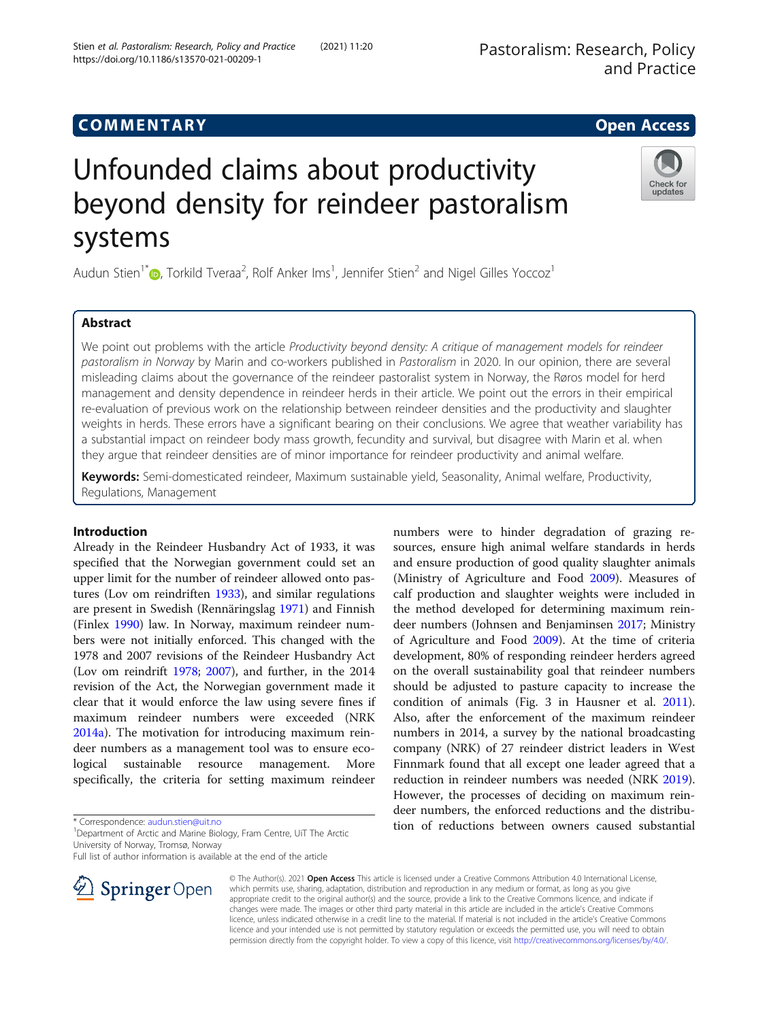# COMM EN TARY Open Access

# Unfounded claims about productivity beyond density for reindeer pastoralism systems

Audun Stien<sup>1[\\*](http://orcid.org/0000-0001-8046-7337)</sup> $\textsf{D}$ , Torkild Tveraa<sup>2</sup>, Rolf Anker Ims<sup>1</sup>, Jennifer Stien<sup>2</sup> and Nigel Gilles Yoccoz<sup>1</sup>

# Abstract

We point out problems with the article Productivity beyond density: A critique of management models for reindeer pastoralism in Norway by Marin and co-workers published in Pastoralism in 2020. In our opinion, there are several misleading claims about the governance of the reindeer pastoralist system in Norway, the Røros model for herd management and density dependence in reindeer herds in their article. We point out the errors in their empirical re-evaluation of previous work on the relationship between reindeer densities and the productivity and slaughter weights in herds. These errors have a significant bearing on their conclusions. We agree that weather variability has a substantial impact on reindeer body mass growth, fecundity and survival, but disagree with Marin et al. when they argue that reindeer densities are of minor importance for reindeer productivity and animal welfare.

Keywords: Semi-domesticated reindeer, Maximum sustainable yield, Seasonality, Animal welfare, Productivity, Regulations, Management

# Introduction

Already in the Reindeer Husbandry Act of 1933, it was specified that the Norwegian government could set an upper limit for the number of reindeer allowed onto pastures (Lov om reindriften [1933](#page-5-0)), and similar regulations are present in Swedish (Rennäringslag [1971](#page-6-0)) and Finnish (Finlex [1990](#page-5-0)) law. In Norway, maximum reindeer numbers were not initially enforced. This changed with the 1978 and 2007 revisions of the Reindeer Husbandry Act (Lov om reindrift [1978](#page-5-0); [2007](#page-5-0)), and further, in the 2014 revision of the Act, the Norwegian government made it clear that it would enforce the law using severe fines if maximum reindeer numbers were exceeded (NRK [2014a\)](#page-6-0). The motivation for introducing maximum reindeer numbers as a management tool was to ensure ecological sustainable resource management. More specifically, the criteria for setting maximum reindeer

\* Correspondence: [audun.stien@uit.no](mailto:audun.stien@uit.no) <sup>1</sup>

SpringerOpen

<sup>1</sup> Department of Arctic and Marine Biology, Fram Centre, UiT The Arctic University of Norway, Tromsø, Norway

Full list of author information is available at the end of the article

© The Author(s). 2021 Open Access This article is licensed under a Creative Commons Attribution 4.0 International License, which permits use, sharing, adaptation, distribution and reproduction in any medium or format, as long as you give appropriate credit to the original author(s) and the source, provide a link to the Creative Commons licence, and indicate if changes were made. The images or other third party material in this article are included in the article's Creative Commons licence, unless indicated otherwise in a credit line to the material. If material is not included in the article's Creative Commons licence and your intended use is not permitted by statutory regulation or exceeds the permitted use, you will need to obtain permission directly from the copyright holder. To view a copy of this licence, visit <http://creativecommons.org/licenses/by/4.0/>.

Stien et al. Pastoralism: Research, Policy and Practice (2021) 11:20 https://doi.org/10.1186/s13570-021-00209-1

> numbers were to hinder degradation of grazing resources, ensure high animal welfare standards in herds and ensure production of good quality slaughter animals (Ministry of Agriculture and Food [2009\)](#page-5-0). Measures of calf production and slaughter weights were included in the method developed for determining maximum reindeer numbers (Johnsen and Benjaminsen [2017](#page-5-0); Ministry of Agriculture and Food [2009\)](#page-5-0). At the time of criteria development, 80% of responding reindeer herders agreed on the overall sustainability goal that reindeer numbers should be adjusted to pasture capacity to increase the condition of animals (Fig. 3 in Hausner et al. [2011](#page-5-0)). Also, after the enforcement of the maximum reindeer numbers in 2014, a survey by the national broadcasting company (NRK) of 27 reindeer district leaders in West Finnmark found that all except one leader agreed that a reduction in reindeer numbers was needed (NRK [2019](#page-6-0)). However, the processes of deciding on maximum reindeer numbers, the enforced reductions and the distribution of reductions between owners caused substantial

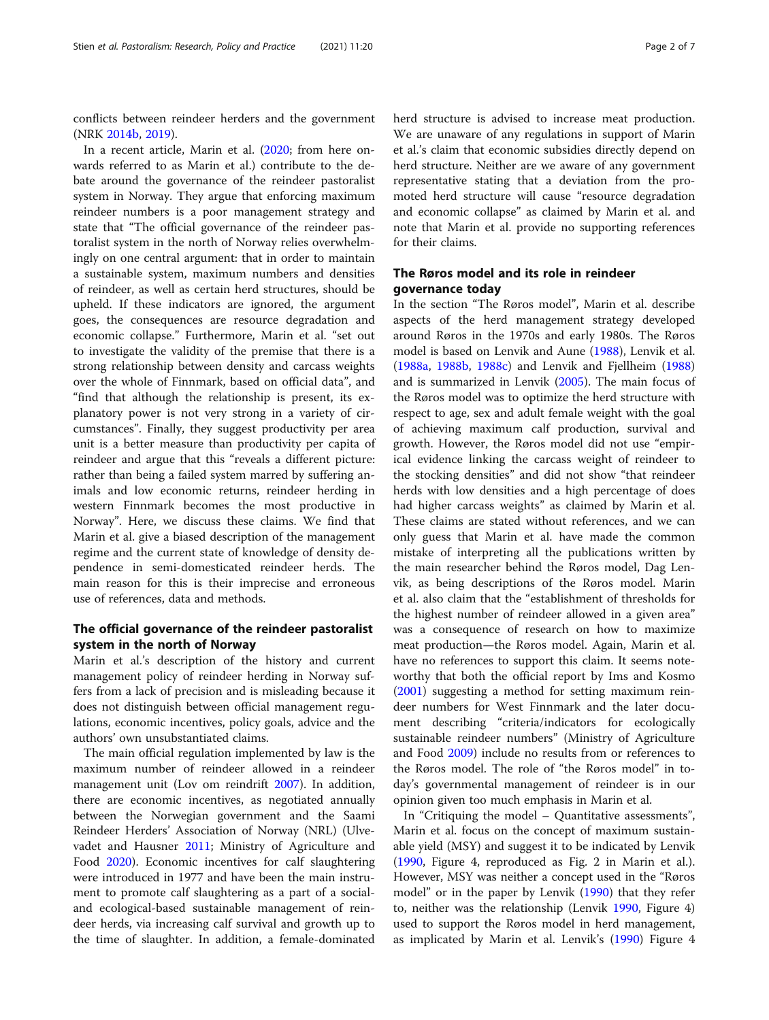conflicts between reindeer herders and the government (NRK [2014b,](#page-6-0) [2019](#page-6-0)).

In a recent article, Marin et al. ([2020](#page-5-0); from here onwards referred to as Marin et al.) contribute to the debate around the governance of the reindeer pastoralist system in Norway. They argue that enforcing maximum reindeer numbers is a poor management strategy and state that "The official governance of the reindeer pastoralist system in the north of Norway relies overwhelmingly on one central argument: that in order to maintain a sustainable system, maximum numbers and densities of reindeer, as well as certain herd structures, should be upheld. If these indicators are ignored, the argument goes, the consequences are resource degradation and economic collapse." Furthermore, Marin et al. "set out to investigate the validity of the premise that there is a strong relationship between density and carcass weights over the whole of Finnmark, based on official data", and "find that although the relationship is present, its explanatory power is not very strong in a variety of circumstances". Finally, they suggest productivity per area unit is a better measure than productivity per capita of reindeer and argue that this "reveals a different picture: rather than being a failed system marred by suffering animals and low economic returns, reindeer herding in western Finnmark becomes the most productive in Norway". Here, we discuss these claims. We find that Marin et al. give a biased description of the management regime and the current state of knowledge of density dependence in semi-domesticated reindeer herds. The main reason for this is their imprecise and erroneous use of references, data and methods.

## The official governance of the reindeer pastoralist system in the north of Norway

Marin et al.'s description of the history and current management policy of reindeer herding in Norway suffers from a lack of precision and is misleading because it does not distinguish between official management regulations, economic incentives, policy goals, advice and the authors' own unsubstantiated claims.

The main official regulation implemented by law is the maximum number of reindeer allowed in a reindeer management unit (Lov om reindrift [2007](#page-5-0)). In addition, there are economic incentives, as negotiated annually between the Norwegian government and the Saami Reindeer Herders' Association of Norway (NRL) (Ulvevadet and Hausner [2011](#page-6-0); Ministry of Agriculture and Food [2020](#page-5-0)). Economic incentives for calf slaughtering were introduced in 1977 and have been the main instrument to promote calf slaughtering as a part of a socialand ecological-based sustainable management of reindeer herds, via increasing calf survival and growth up to the time of slaughter. In addition, a female-dominated herd structure is advised to increase meat production. We are unaware of any regulations in support of Marin et al.'s claim that economic subsidies directly depend on herd structure. Neither are we aware of any government representative stating that a deviation from the promoted herd structure will cause "resource degradation and economic collapse" as claimed by Marin et al. and note that Marin et al. provide no supporting references for their claims.

# The Røros model and its role in reindeer governance today

In the section "The Røros model", Marin et al. describe aspects of the herd management strategy developed around Røros in the 1970s and early 1980s. The Røros model is based on Lenvik and Aune ([1988\)](#page-5-0), Lenvik et al. ([1988a,](#page-5-0) [1988b](#page-5-0), [1988c](#page-5-0)) and Lenvik and Fjellheim ([1988](#page-5-0)) and is summarized in Lenvik ([2005](#page-5-0)). The main focus of the Røros model was to optimize the herd structure with respect to age, sex and adult female weight with the goal of achieving maximum calf production, survival and growth. However, the Røros model did not use "empirical evidence linking the carcass weight of reindeer to the stocking densities" and did not show "that reindeer herds with low densities and a high percentage of does had higher carcass weights" as claimed by Marin et al. These claims are stated without references, and we can only guess that Marin et al. have made the common mistake of interpreting all the publications written by the main researcher behind the Røros model, Dag Lenvik, as being descriptions of the Røros model. Marin et al. also claim that the "establishment of thresholds for the highest number of reindeer allowed in a given area" was a consequence of research on how to maximize meat production—the Røros model. Again, Marin et al. have no references to support this claim. It seems noteworthy that both the official report by Ims and Kosmo ([2001\)](#page-5-0) suggesting a method for setting maximum reindeer numbers for West Finnmark and the later document describing "criteria/indicators for ecologically sustainable reindeer numbers" (Ministry of Agriculture and Food [2009\)](#page-5-0) include no results from or references to the Røros model. The role of "the Røros model" in today's governmental management of reindeer is in our opinion given too much emphasis in Marin et al.

In "Critiquing the model – Quantitative assessments", Marin et al. focus on the concept of maximum sustainable yield (MSY) and suggest it to be indicated by Lenvik ([1990,](#page-5-0) Figure 4, reproduced as Fig. 2 in Marin et al.). However, MSY was neither a concept used in the "Røros model" or in the paper by Lenvik [\(1990\)](#page-5-0) that they refer to, neither was the relationship (Lenvik [1990,](#page-5-0) Figure 4) used to support the Røros model in herd management, as implicated by Marin et al. Lenvik's ([1990](#page-5-0)) Figure 4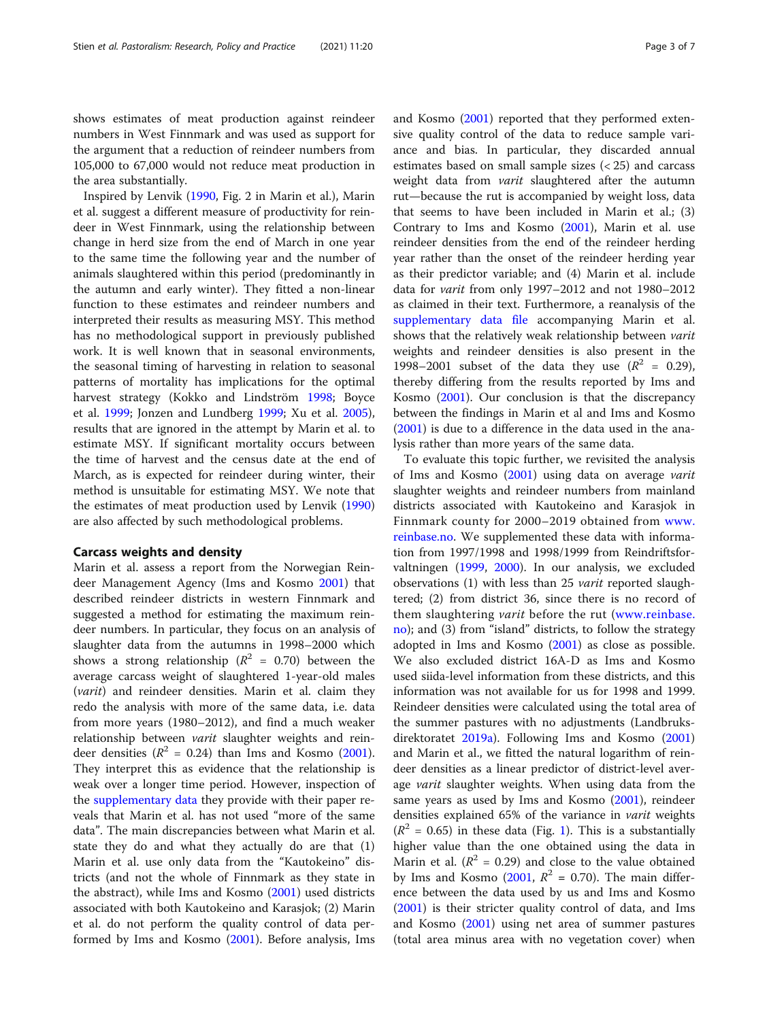shows estimates of meat production against reindeer numbers in West Finnmark and was used as support for the argument that a reduction of reindeer numbers from 105,000 to 67,000 would not reduce meat production in the area substantially.

Inspired by Lenvik [\(1990](#page-5-0), Fig. 2 in Marin et al.), Marin et al. suggest a different measure of productivity for reindeer in West Finnmark, using the relationship between change in herd size from the end of March in one year to the same time the following year and the number of animals slaughtered within this period (predominantly in the autumn and early winter). They fitted a non-linear function to these estimates and reindeer numbers and interpreted their results as measuring MSY. This method has no methodological support in previously published work. It is well known that in seasonal environments, the seasonal timing of harvesting in relation to seasonal patterns of mortality has implications for the optimal harvest strategy (Kokko and Lindström [1998;](#page-5-0) Boyce et al. [1999;](#page-5-0) Jonzen and Lundberg [1999;](#page-5-0) Xu et al. [2005](#page-6-0)), results that are ignored in the attempt by Marin et al. to estimate MSY. If significant mortality occurs between the time of harvest and the census date at the end of March, as is expected for reindeer during winter, their method is unsuitable for estimating MSY. We note that the estimates of meat production used by Lenvik ([1990](#page-5-0)) are also affected by such methodological problems.

#### Carcass weights and density

Marin et al. assess a report from the Norwegian Reindeer Management Agency (Ims and Kosmo [2001\)](#page-5-0) that described reindeer districts in western Finnmark and suggested a method for estimating the maximum reindeer numbers. In particular, they focus on an analysis of slaughter data from the autumns in 1998–2000 which shows a strong relationship ( $R^2 = 0.70$ ) between the average carcass weight of slaughtered 1-year-old males (varit) and reindeer densities. Marin et al. claim they redo the analysis with more of the same data, i.e. data from more years (1980–2012), and find a much weaker relationship between varit slaughter weights and reindeer densities ( $R^2$  = 0.24) than Ims and Kosmo ([2001](#page-5-0)). They interpret this as evidence that the relationship is weak over a longer time period. However, inspection of the [supplementary data](#page-4-0) they provide with their paper reveals that Marin et al. has not used "more of the same data". The main discrepancies between what Marin et al. state they do and what they actually do are that (1) Marin et al. use only data from the "Kautokeino" districts (and not the whole of Finnmark as they state in the abstract), while Ims and Kosmo [\(2001\)](#page-5-0) used districts associated with both Kautokeino and Karasjok; (2) Marin et al. do not perform the quality control of data performed by Ims and Kosmo [\(2001\)](#page-5-0). Before analysis, Ims and Kosmo [\(2001](#page-5-0)) reported that they performed extensive quality control of the data to reduce sample variance and bias. In particular, they discarded annual estimates based on small sample sizes (< 25) and carcass weight data from varit slaughtered after the autumn rut—because the rut is accompanied by weight loss, data that seems to have been included in Marin et al.; (3) Contrary to Ims and Kosmo ([2001](#page-5-0)), Marin et al. use reindeer densities from the end of the reindeer herding year rather than the onset of the reindeer herding year as their predictor variable; and (4) Marin et al. include data for varit from only 1997–2012 and not 1980–2012 as claimed in their text. Furthermore, a reanalysis of the [supplementary data file](#page-4-0) accompanying Marin et al. shows that the relatively weak relationship between varit weights and reindeer densities is also present in the 1998–2001 subset of the data they use  $(R^2 = 0.29)$ , thereby differing from the results reported by Ims and Kosmo [\(2001](#page-5-0)). Our conclusion is that the discrepancy between the findings in Marin et al and Ims and Kosmo ([2001\)](#page-5-0) is due to a difference in the data used in the analysis rather than more years of the same data.

To evaluate this topic further, we revisited the analysis of Ims and Kosmo [\(2001](#page-5-0)) using data on average varit slaughter weights and reindeer numbers from mainland districts associated with Kautokeino and Karasjok in Finnmark county for 2000–2019 obtained from [www.](http://www.reinbase.no) [reinbase.no](http://www.reinbase.no). We supplemented these data with information from 1997/1998 and 1998/1999 from Reindriftsforvaltningen ([1999](#page-6-0), [2000\)](#page-6-0). In our analysis, we excluded observations (1) with less than 25 varit reported slaughtered; (2) from district 36, since there is no record of them slaughtering varit before the rut ([www.reinbase.](http://www.reinbase.no) [no](http://www.reinbase.no)); and (3) from "island" districts, to follow the strategy adopted in Ims and Kosmo [\(2001\)](#page-5-0) as close as possible. We also excluded district 16A-D as Ims and Kosmo used siida-level information from these districts, and this information was not available for us for 1998 and 1999. Reindeer densities were calculated using the total area of the summer pastures with no adjustments (Landbruksdirektoratet [2019a\)](#page-5-0). Following Ims and Kosmo ([2001](#page-5-0)) and Marin et al., we fitted the natural logarithm of reindeer densities as a linear predictor of district-level average varit slaughter weights. When using data from the same years as used by Ims and Kosmo ([2001\)](#page-5-0), reindeer densities explained 65% of the variance in varit weights  $(R^2 = 0.65)$  in these data (Fig. [1\)](#page-3-0). This is a substantially higher value than the one obtained using the data in Marin et al. ( $R^2 = 0.29$ ) and close to the value obtained by Ims and Kosmo ([2001](#page-5-0),  $R^2 = 0.70$ ). The main difference between the data used by us and Ims and Kosmo ([2001\)](#page-5-0) is their stricter quality control of data, and Ims and Kosmo ([2001\)](#page-5-0) using net area of summer pastures (total area minus area with no vegetation cover) when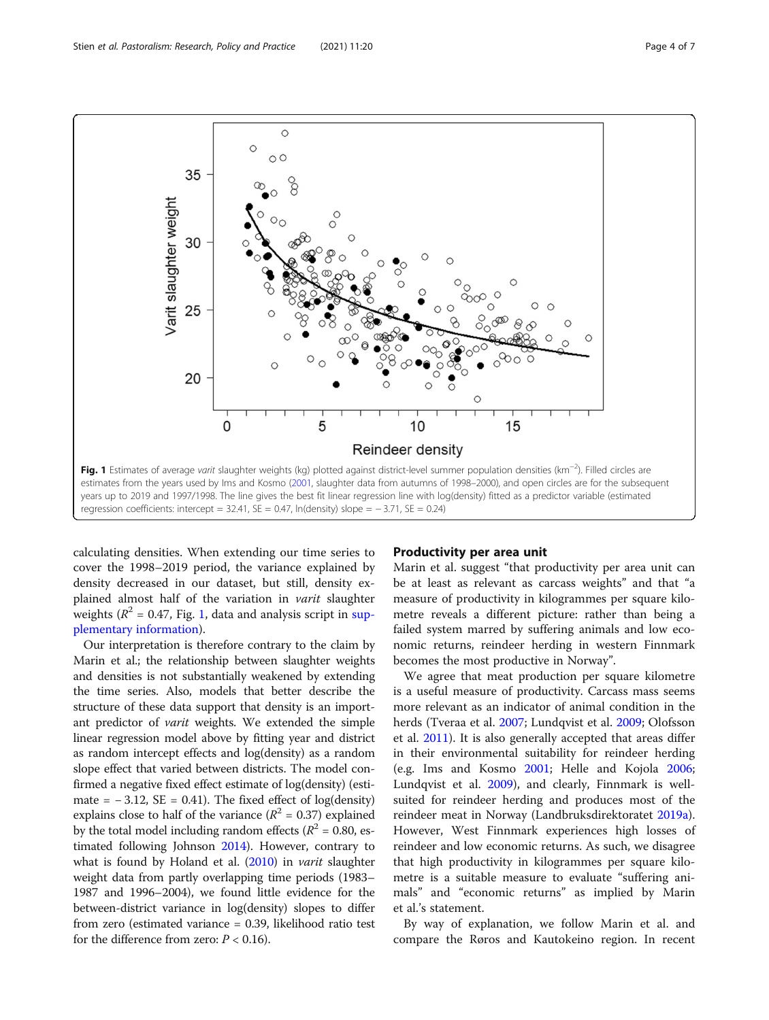<span id="page-3-0"></span>

calculating densities. When extending our time series to cover the 1998–2019 period, the variance explained by density decreased in our dataset, but still, density explained almost half of the variation in varit slaughter weights ( $R^2$  = 0.47, Fig. 1, data and analysis script in [sup](#page-4-0)[plementary information\)](#page-4-0).

Our interpretation is therefore contrary to the claim by Marin et al.; the relationship between slaughter weights and densities is not substantially weakened by extending the time series. Also, models that better describe the structure of these data support that density is an important predictor of varit weights. We extended the simple linear regression model above by fitting year and district as random intercept effects and log(density) as a random slope effect that varied between districts. The model confirmed a negative fixed effect estimate of log(density) (estimate =  $-3.12$ , SE = 0.41). The fixed effect of log(density) explains close to half of the variance ( $R^2 = 0.37$ ) explained by the total model including random effects ( $R^2$  = 0.80, estimated following Johnson [2014\)](#page-5-0). However, contrary to what is found by Holand et al. ([2010](#page-5-0)) in *varit* slaughter weight data from partly overlapping time periods (1983– 1987 and 1996–2004), we found little evidence for the between-district variance in log(density) slopes to differ from zero (estimated variance = 0.39, likelihood ratio test for the difference from zero:  $P < 0.16$ ).

## Productivity per area unit

Marin et al. suggest "that productivity per area unit can be at least as relevant as carcass weights" and that "a measure of productivity in kilogrammes per square kilometre reveals a different picture: rather than being a failed system marred by suffering animals and low economic returns, reindeer herding in western Finnmark becomes the most productive in Norway".

We agree that meat production per square kilometre is a useful measure of productivity. Carcass mass seems more relevant as an indicator of animal condition in the herds (Tveraa et al. [2007](#page-6-0); Lundqvist et al. [2009](#page-5-0); Olofsson et al. [2011\)](#page-6-0). It is also generally accepted that areas differ in their environmental suitability for reindeer herding (e.g. Ims and Kosmo [2001;](#page-5-0) Helle and Kojola [2006](#page-5-0); Lundqvist et al. [2009](#page-5-0)), and clearly, Finnmark is wellsuited for reindeer herding and produces most of the reindeer meat in Norway (Landbruksdirektoratet [2019a](#page-5-0)). However, West Finnmark experiences high losses of reindeer and low economic returns. As such, we disagree that high productivity in kilogrammes per square kilometre is a suitable measure to evaluate "suffering animals" and "economic returns" as implied by Marin et al.'s statement.

By way of explanation, we follow Marin et al. and compare the Røros and Kautokeino region. In recent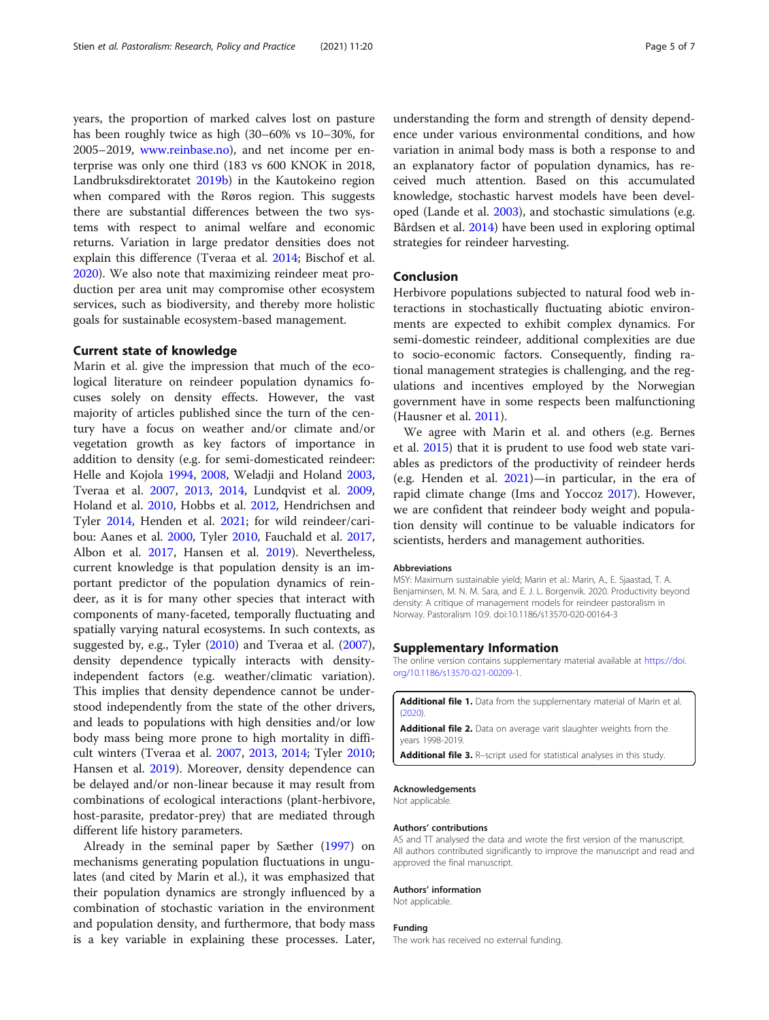<span id="page-4-0"></span>years, the proportion of marked calves lost on pasture has been roughly twice as high (30–60% vs 10–30%, for 2005–2019, [www.reinbase.no\)](http://www.reinbase.no), and net income per enterprise was only one third (183 vs 600 KNOK in 2018, Landbruksdirektoratet [2019b\)](#page-5-0) in the Kautokeino region when compared with the Røros region. This suggests there are substantial differences between the two systems with respect to animal welfare and economic returns. Variation in large predator densities does not explain this difference (Tveraa et al. [2014;](#page-6-0) Bischof et al. [2020](#page-5-0)). We also note that maximizing reindeer meat production per area unit may compromise other ecosystem services, such as biodiversity, and thereby more holistic goals for sustainable ecosystem-based management.

## Current state of knowledge

Marin et al. give the impression that much of the ecological literature on reindeer population dynamics focuses solely on density effects. However, the vast majority of articles published since the turn of the century have a focus on weather and/or climate and/or vegetation growth as key factors of importance in addition to density (e.g. for semi-domesticated reindeer: Helle and Kojola [1994,](#page-5-0) [2008](#page-5-0), Weladji and Holand [2003](#page-6-0), Tveraa et al. [2007,](#page-6-0) [2013,](#page-6-0) [2014](#page-6-0), Lundqvist et al. [2009](#page-5-0), Holand et al. [2010](#page-5-0), Hobbs et al. [2012,](#page-5-0) Hendrichsen and Tyler [2014](#page-5-0), Henden et al. [2021;](#page-5-0) for wild reindeer/caribou: Aanes et al. [2000](#page-5-0), Tyler [2010,](#page-6-0) Fauchald et al. [2017](#page-5-0), Albon et al. [2017,](#page-5-0) Hansen et al. [2019\)](#page-5-0). Nevertheless, current knowledge is that population density is an important predictor of the population dynamics of reindeer, as it is for many other species that interact with components of many-faceted, temporally fluctuating and spatially varying natural ecosystems. In such contexts, as suggested by, e.g., Tyler [\(2010\)](#page-6-0) and Tveraa et al. ([2007](#page-6-0)), density dependence typically interacts with densityindependent factors (e.g. weather/climatic variation). This implies that density dependence cannot be understood independently from the state of the other drivers, and leads to populations with high densities and/or low body mass being more prone to high mortality in difficult winters (Tveraa et al. [2007](#page-6-0), [2013,](#page-6-0) [2014;](#page-6-0) Tyler [2010](#page-6-0); Hansen et al. [2019\)](#page-5-0). Moreover, density dependence can be delayed and/or non-linear because it may result from combinations of ecological interactions (plant-herbivore, host-parasite, predator-prey) that are mediated through different life history parameters.

Already in the seminal paper by Sæther ([1997](#page-6-0)) on mechanisms generating population fluctuations in ungulates (and cited by Marin et al.), it was emphasized that their population dynamics are strongly influenced by a combination of stochastic variation in the environment and population density, and furthermore, that body mass is a key variable in explaining these processes. Later,

understanding the form and strength of density dependence under various environmental conditions, and how variation in animal body mass is both a response to and an explanatory factor of population dynamics, has received much attention. Based on this accumulated knowledge, stochastic harvest models have been developed (Lande et al. [2003\)](#page-5-0), and stochastic simulations (e.g. Bårdsen et al. [2014\)](#page-5-0) have been used in exploring optimal strategies for reindeer harvesting.

#### Conclusion

Herbivore populations subjected to natural food web interactions in stochastically fluctuating abiotic environments are expected to exhibit complex dynamics. For semi-domestic reindeer, additional complexities are due to socio-economic factors. Consequently, finding rational management strategies is challenging, and the regulations and incentives employed by the Norwegian government have in some respects been malfunctioning (Hausner et al. [2011\)](#page-5-0).

We agree with Marin et al. and others (e.g. Bernes et al. [2015\)](#page-5-0) that it is prudent to use food web state variables as predictors of the productivity of reindeer herds (e.g. Henden et al. [2021](#page-5-0))—in particular, in the era of rapid climate change (Ims and Yoccoz [2017\)](#page-5-0). However, we are confident that reindeer body weight and population density will continue to be valuable indicators for scientists, herders and management authorities.

#### Abbreviations

MSY: Maximum sustainable yield; Marin et al.: Marin, A., E. Sjaastad, T. A. Benjaminsen, M. N. M. Sara, and E. J. L. Borgenvik. 2020. Productivity beyond density: A critique of management models for reindeer pastoralism in Norway. Pastoralism 10:9. doi:10.1186/s13570-020-00164-3

#### Supplementary Information

The online version contains supplementary material available at [https://doi.](https://doi.org/10.1186/s13570-021-00209-1) [org/10.1186/s13570-021-00209-1.](https://doi.org/10.1186/s13570-021-00209-1)

Additional file 1. Data from the supplementary material of Marin et al.  $(2020)$ Additional file 2. Data on average varit slaughter weights from the years 1998-2019. Additional file 3. R-script used for statistical analyses in this study.

#### Acknowledgements

Not applicable.

#### Authors' contributions

AS and TT analysed the data and wrote the first version of the manuscript. All authors contributed significantly to improve the manuscript and read and approved the final manuscript.

#### Authors' information

Not applicable.

#### Funding

The work has received no external funding.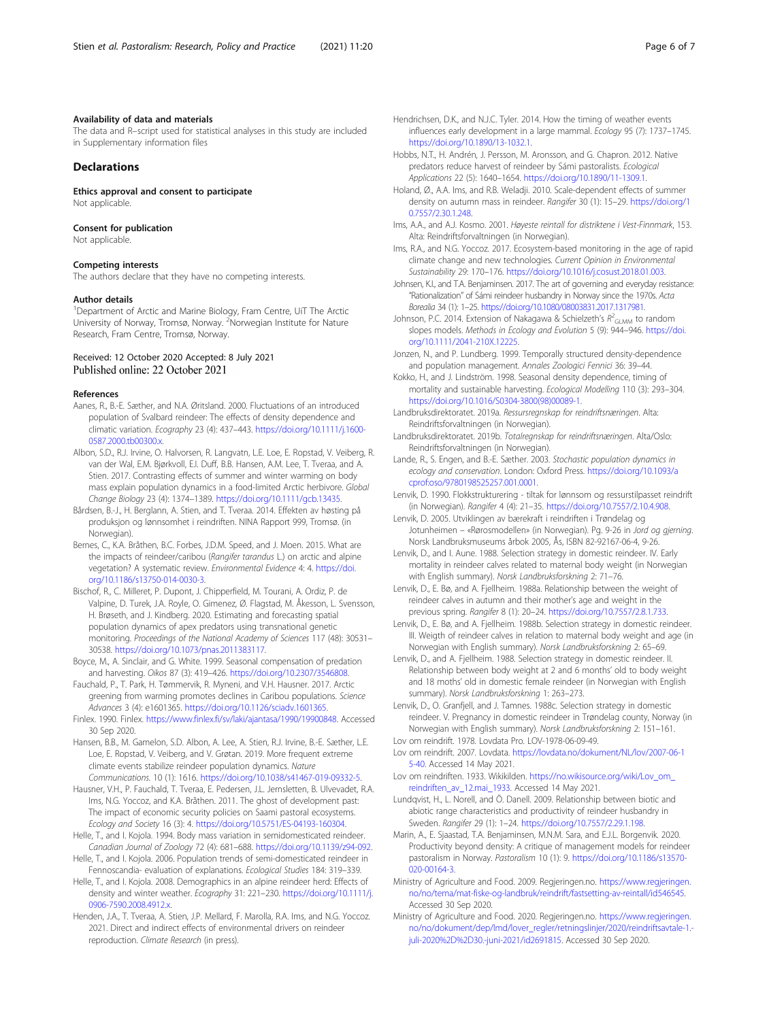#### <span id="page-5-0"></span>Availability of data and materials

The data and R–script used for statistical analyses in this study are included in Supplementary information files

## Declarations

Ethics approval and consent to participate Not applicable.

#### Consent for publication

Not applicable.

#### Competing interests

The authors declare that they have no competing interests.

#### Author details

<sup>1</sup>Department of Arctic and Marine Biology, Fram Centre, UiT The Arctic University of Norway, Tromsø, Norway. <sup>2</sup>Norwegian Institute for Nature Research, Fram Centre, Tromsø, Norway.

### Received: 12 October 2020 Accepted: 8 July 2021 Published online: 22 October 2021

#### References

- Aanes, R., B.-E. Sæther, and N.A. Øritsland. 2000. Fluctuations of an introduced population of Svalbard reindeer: The effects of density dependence and climatic variation. Ecography 23 (4): 437–443. [https://doi.org/10.1111/j.1600-](https://doi.org/10.1111/j.1600-0587.2000.tb00300.x) [0587.2000.tb00300.x.](https://doi.org/10.1111/j.1600-0587.2000.tb00300.x)
- Albon, S.D., R.J. Irvine, O. Halvorsen, R. Langvatn, L.E. Loe, E. Ropstad, V. Veiberg, R. van der Wal, E.M. Bjørkvoll, E.I. Duff, B.B. Hansen, A.M. Lee, T. Tveraa, and A. Stien. 2017. Contrasting effects of summer and winter warming on body mass explain population dynamics in a food-limited Arctic herbivore. Global Change Biology 23 (4): 1374–1389. [https://doi.org/10.1111/gcb.13435.](https://doi.org/10.1111/gcb.13435)
- Bårdsen, B.-J., H. Berglann, A. Stien, and T. Tveraa. 2014. Effekten av høsting på produksjon og lønnsomhet i reindriften. NINA Rapport 999, Tromsø. (in Norwegian).
- Bernes, C., K.A. Bråthen, B.C. Forbes, J.D.M. Speed, and J. Moen. 2015. What are the impacts of reindeer/caribou (Rangifer tarandus L.) on arctic and alpine vegetation? A systematic review. Environmental Evidence 4: 4. [https://doi.](https://doi.org/10.1186/s13750-014-0030-3) [org/10.1186/s13750-014-0030-3](https://doi.org/10.1186/s13750-014-0030-3).
- Bischof, R., C. Milleret, P. Dupont, J. Chipperfield, M. Tourani, A. Ordiz, P. de Valpine, D. Turek, J.A. Royle, O. Gimenez, Ø. Flagstad, M. Åkesson, L. Svensson, H. Brøseth, and J. Kindberg. 2020. Estimating and forecasting spatial population dynamics of apex predators using transnational genetic monitoring. Proceedings of the National Academy of Sciences 117 (48): 30531– 30538. <https://doi.org/10.1073/pnas.2011383117>.
- Boyce, M., A. Sinclair, and G. White. 1999. Seasonal compensation of predation and harvesting. Oikos 87 (3): 419–426. <https://doi.org/10.2307/3546808>.
- Fauchald, P., T. Park, H. Tømmervik, R. Myneni, and V.H. Hausner. 2017. Arctic greening from warming promotes declines in Caribou populations. Science Advances 3 (4): e1601365. <https://doi.org/10.1126/sciadv.1601365>.
- Finlex. 1990. Finlex. [https://www.finlex.fi/sv/laki/ajantasa/1990/19900848.](https://www.finlex.fi/sv/laki/ajantasa/1990/19900848) Accessed 30 Sep 2020.
- Hansen, B.B., M. Gamelon, S.D. Albon, A. Lee, A. Stien, R.J. Irvine, B.-E. Sæther, L.E. Loe, E. Ropstad, V. Veiberg, and V. Grøtan. 2019. More frequent extreme climate events stabilize reindeer population dynamics. Nature Communications. 10 (1): 1616. <https://doi.org/10.1038/s41467-019-09332-5>.
- Hausner, V.H., P. Fauchald, T. Tveraa, E. Pedersen, J.L. Jernsletten, B. Ulvevadet, R.A. Ims, N.G. Yoccoz, and K.A. Bråthen. 2011. The ghost of development past: The impact of economic security policies on Saami pastoral ecosystems. Ecology and Society 16 (3): 4. <https://doi.org/10.5751/ES-04193-160304>.
- Helle, T., and I. Kojola. 1994. Body mass variation in semidomesticated reindeer. Canadian Journal of Zoology 72 (4): 681–688. <https://doi.org/10.1139/z94-092>.
- Helle, T., and I. Kojola. 2006. Population trends of semi-domesticated reindeer in Fennoscandia- evaluation of explanations. Ecological Studies 184: 319–339.
- Helle, T., and I. Kojola. 2008. Demographics in an alpine reindeer herd: Effects of density and winter weather. Ecography 31: 221–230. [https://doi.org/10.1111/j.](https://doi.org/10.1111/j.0906-7590.2008.4912.x) [0906-7590.2008.4912.x.](https://doi.org/10.1111/j.0906-7590.2008.4912.x)

Henden, J.A., T. Tveraa, A. Stien, J.P. Mellard, F. Marolla, R.A. Ims, and N.G. Yoccoz. 2021. Direct and indirect effects of environmental drivers on reindeer reproduction. Climate Research (in press).

- Hendrichsen, D.K., and N.J.C. Tyler. 2014. How the timing of weather events influences early development in a large mammal. Ecology 95 (7): 1737–1745. <https://doi.org/10.1890/13-1032.1>.
- Hobbs, N.T., H. Andrén, J. Persson, M. Aronsson, and G. Chapron. 2012. Native predators reduce harvest of reindeer by Sámi pastoralists. Ecological Applications 22 (5): 1640–1654. <https://doi.org/10.1890/11-1309.1>.
- Holand, Ø., A.A. Ims, and R.B. Weladji. 2010. Scale-dependent effects of summer density on autumn mass in reindeer. Rangifer 30 (1): 15–29. [https://doi.org/1](https://doi.org/10.7557/2.30.1.248) [0.7557/2.30.1.248.](https://doi.org/10.7557/2.30.1.248)
- Ims, A.A., and A.J. Kosmo. 2001. Høyeste reintall for distriktene i Vest-Finnmark, 153. Alta: Reindriftsforvaltningen (in Norwegian).
- Ims, R.A., and N.G. Yoccoz. 2017. Ecosystem-based monitoring in the age of rapid climate change and new technologies. Current Opinion in Environmental Sustainability 29: 170–176. [https://doi.org/10.1016/j.cosust.2018.01.003.](https://doi.org/10.1016/j.cosust.2018.01.003)
- Johnsen, K.I., and T.A. Benjaminsen. 2017. The art of governing and everyday resistance: "Rationalization" of Sámi reindeer husbandry in Norway since the 1970s. Acta Borealia 34 (1): 1–25. [https://doi.org/10.1080/08003831.2017.1317981.](https://doi.org/10.1080/08003831.2017.1317981)
- Johnson, P.C. 2014. Extension of Nakagawa & Schielzeth's  $R^2$ <sub>GLMM</sub> to random slopes models. Methods in Ecology and Evolution 5 (9): 944–946. [https://doi.](https://doi.org/10.1111/2041-210X.12225) [org/10.1111/2041-210X.12225](https://doi.org/10.1111/2041-210X.12225).
- Jonzen, N., and P. Lundberg. 1999. Temporally structured density-dependence and population management. Annales Zoologici Fennici 36: 39–44.
- Kokko, H., and J. Lindström. 1998. Seasonal density dependence, timing of mortality and sustainable harvesting. Ecological Modelling 110 (3): 293–304. [https://doi.org/10.1016/S0304-3800\(98\)00089-1.](https://doi.org/10.1016/S0304-3800(98)00089-1)
- Landbruksdirektoratet. 2019a. Ressursregnskap for reindriftsnæringen. Alta: Reindriftsforvaltningen (in Norwegian).
- Landbruksdirektoratet. 2019b. Totalregnskap for reindriftsnæringen. Alta/Oslo: Reindriftsforvaltningen (in Norwegian).
- Lande, R., S. Engen, and B.-E. Sæther. 2003. Stochastic population dynamics in ecology and conservation. London: Oxford Press. [https://doi.org/10.1093/a](https://doi.org/10.1093/acprof:oso/9780198525257.001.0001) [cprof:oso/9780198525257.001.0001.](https://doi.org/10.1093/acprof:oso/9780198525257.001.0001)
- Lenvik, D. 1990. Flokkstrukturering tiltak for lønnsom og ressurstilpasset reindrift (in Norwegian). Rangifer 4 (4): 21–35. <https://doi.org/10.7557/2.10.4.908>.
- Lenvik, D. 2005. Utviklingen av bærekraft i reindriften i Trøndelag og Jotunheimen – «Rørosmodellen» (in Norwegian). Pg. 9-26 in Jord og gjerning. Norsk Landbruksmuseums årbok 2005, Ås, ISBN 82-92167-06-4, 9-26.
- Lenvik, D., and I. Aune. 1988. Selection strategy in domestic reindeer. IV. Early mortality in reindeer calves related to maternal body weight (in Norwegian with English summary). Norsk Landbruksforskning 2: 71–76.
- Lenvik, D., E. Bø, and A. Fjellheim. 1988a. Relationship between the weight of reindeer calves in autumn and their mother's age and weight in the previous spring. Rangifer 8 (1): 20–24. <https://doi.org/10.7557/2.8.1.733>.
- Lenvik, D., E. Bø, and A. Fjellheim. 1988b. Selection strategy in domestic reindeer. III. Weigth of reindeer calves in relation to maternal body weight and age (in Norwegian with English summary). Norsk Landbruksforskning 2: 65–69.
- Lenvik, D., and A. Fjellheim. 1988. Selection strategy in domestic reindeer. II. Relationship between body weight at 2 and 6 months' old to body weight and 18 moths' old in domestic female reindeer (in Norwegian with English summary). Norsk Landbruksforskning 1: 263–273.
- Lenvik, D., O. Granfjell, and J. Tamnes. 1988c. Selection strategy in domestic reindeer. V. Pregnancy in domestic reindeer in Trøndelag county, Norway (in Norwegian with English summary). Norsk Landbruksforskning 2: 151–161. Lov om reindrift. 1978. Lovdata Pro. LOV-1978-06-09-49.
- Lov om reindrift. 2007. Lovdata. [https://lovdata.no/dokument/NL/lov/2007-06-1](https://lovdata.no/dokument/NL/lov/2007-06-15-40) [5-40](https://lovdata.no/dokument/NL/lov/2007-06-15-40). Accessed 14 May 2021.
- Lov om reindriften. 1933. Wikikilden. [https://no.wikisource.org/wiki/Lov\\_om\\_](https://no.wikisource.org/wiki/Lov_om_reindriften_av_12.mai_1933) [reindriften\\_av\\_12.mai\\_1933](https://no.wikisource.org/wiki/Lov_om_reindriften_av_12.mai_1933). Accessed 14 May 2021.
- Lundqvist, H., L. Norell, and Ö. Danell. 2009. Relationship between biotic and abiotic range characteristics and productivity of reindeer husbandry in Sweden. Rangifer 29 (1): 1–24. [https://doi.org/10.7557/2.29.1.198.](https://doi.org/10.7557/2.29.1.198)
- Marin, A., E. Sjaastad, T.A. Benjaminsen, M.N.M. Sara, and E.J.L. Borgenvik. 2020. Productivity beyond density: A critique of management models for reindeer pastoralism in Norway. Pastoralism 10 (1): 9. [https://doi.org/10.1186/s13570-](https://doi.org/10.1186/s13570-020-00164-3) [020-00164-3.](https://doi.org/10.1186/s13570-020-00164-3)
- Ministry of Agriculture and Food. 2009. Regjeringen.no. [https://www.regjeringen.](https://www.regjeringen.no/no/tema/mat-fiske-og-landbruk/reindrift/fastsetting-av-reintall/id546545) [no/no/tema/mat-fiske-og-landbruk/reindrift/fastsetting-av-reintall/id546545](https://www.regjeringen.no/no/tema/mat-fiske-og-landbruk/reindrift/fastsetting-av-reintall/id546545). Accessed 30 Sep 2020.
- Ministry of Agriculture and Food. 2020. Regjeringen.no. [https://www.regjeringen.](https://www.regjeringen.no/no/dokument/dep/lmd/lover_regler/retningslinjer/2020/reindriftsavtale-1.-juli-2020%2D%2D30.-juni-2021/id2691815) [no/no/dokument/dep/lmd/lover\\_regler/retningslinjer/2020/reindriftsavtale-1.](https://www.regjeringen.no/no/dokument/dep/lmd/lover_regler/retningslinjer/2020/reindriftsavtale-1.-juli-2020%2D%2D30.-juni-2021/id2691815) [juli-2020%2D%2D30.-juni-2021/id2691815](https://www.regjeringen.no/no/dokument/dep/lmd/lover_regler/retningslinjer/2020/reindriftsavtale-1.-juli-2020%2D%2D30.-juni-2021/id2691815). Accessed 30 Sep 2020.